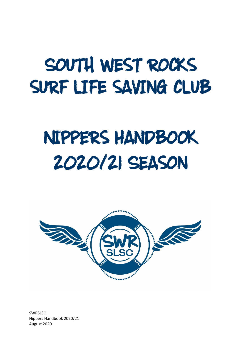# SOUTH WEST ROCKS SURF LIFE SAVING CLUB

# NIPPERS HANDBOOK 2020121 SEASON

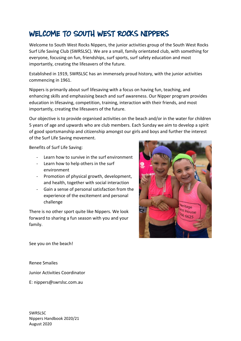### WELCOME TO SOUTH WEST ROCKS NIPPERS

Welcome to South West Rocks Nippers, the junior activities group of the South West Rocks Surf Life Saving Club (SWRSLSC). We are a small, family orientated club, with something for everyone, focusing on fun, friendships, surf sports, surf safety education and most importantly, creating the lifesavers of the future.

Established in 1919, SWRSLSC has an immensely proud history, with the junior activities commencing in 1961.

Nippers is primarily about surf lifesaving with a focus on having fun, teaching, and enhancing skills and emphasising beach and surf awareness. Our Nipper program provides education in lifesaving, competition, training, interaction with their friends, and most importantly, creating the lifesavers of the future.

Our objective is to provide organised activities on the beach and/or in the water for children 5 years of age and upwards who are club members. Each Sunday we aim to develop a spirit of good sportsmanship and citizenship amongst our girls and boys and further the interest of the Surf Life Saving movement.

Benefits of Surf Life Saving:

- Learn how to survive in the surf environment
- Learn how to help others in the surf environment
- Promotion of physical growth, development, and health, together with social interaction
- Gain a sense of personal satisfaction from the experience of the excitement and personal challenge

There is no other sport quite like Nippers. We look forward to sharing a fun season with you and your family.



See you on the beach!

Renee Smailes

Junior Activities Coordinator

E: nippers@swrslsc.com.au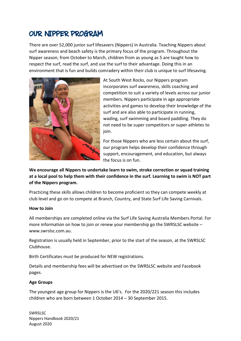### OUR NIPPER PROGRAM

There are over 52,000 junior surf lifesavers (Nippers) in Australia. Teaching Nippers about surf awareness and beach safety is the primary focus of the program. Throughout the Nipper season, from October to March, children from as young as 5 are taught how to respect the surf, read the surf, and use the surf to their advantage. Doing this in an environment that is fun and builds comradery within their club is unique to surf lifesaving.



At South West Rocks, our Nippers program incorporates surf awareness, skills coaching and competition to suit a variety of levels across our junior members. Nippers participate in age appropriate activities and games to develop their knowledge of the surf and are also able to participate in running, wading, surf swimming and board paddling. They do not need to be super competitors or super athletes to join.

For those Nippers who are less certain about the surf, our program helps develop their confidence through support, encouragement, and education, but always the focus is on fun.

**We encourage all Nippers to undertake learn to swim, stroke correction or squad training at a local pool to help them with their confidence in the surf. Learning to swim is NOT part of the Nippers program.**

Practicing these skills allows children to become proficient so they can compete weekly at club level and go on to compete at Branch, Country, and State Surf Life Saving Carnivals.

#### **How to Join**

All memberships are completed online via the Surf Life Saving Australia Members Portal. For more information on how to join or renew your membership go the SWRSLSC website – www.swrslsc.com.au.

Registration is usually held in September, prior to the start of the season, at the SWRSLSC Clubhouse.

Birth Certificates must be produced for NEW registrations.

Details and membership fees will be advertised on the SWRSLSC website and Facebook pages.

### **Age Groups**

The youngest age group for Nippers is the U6's. For the 2020/221 season this includes children who are born between 1 October 2014 – 30 September 2015.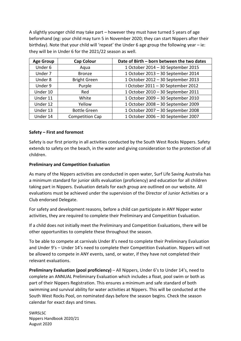A slightly younger child may take part – however they must have turned 5 years of age beforehand (eg: your child may turn 5 in November 2020; they can start Nippers after their birthday). Note that your child will 'repeat' the Under 6 age group the following year – ie: they will be in Under 6 for the 2021/22 season as well.

| <b>Age Group</b> | <b>Cap Colour</b>      | Date of Birth - born between the two dates |  |
|------------------|------------------------|--------------------------------------------|--|
| Under 6          | Aqua                   | 1 October 2014 - 30 September 2015         |  |
| Under 7          | <b>Bronze</b>          | 1 October 2013 - 30 September 2014         |  |
| Under 8          | <b>Bright Green</b>    | 1 October 2012 - 30 September 2013         |  |
| Under 9          | Purple                 | I October 2011 - 30 September 2012         |  |
| Under 10         | Red                    | 1 October 2010 - 30 September 2011         |  |
| Under 11         | White                  | 1 October 2009 - 30 September 2010         |  |
| Under 12         | Yellow                 | 1 October 2008 - 30 September 2009         |  |
| Under 13         | <b>Bottle Green</b>    | 1 October 2007 - 30 September 2008         |  |
| Under 14         | <b>Competition Cap</b> | 1 October 2006 - 30 September 2007         |  |

### **Safety – First and foremost**

Safety is our first priority in all activities conducted by the South West Rocks Nippers. Safety extends to safety on the beach, in the water and giving consideration to the protection of all children.

#### **Preliminary and Competition Evaluation**

As many of the Nippers activities are conducted in open water, Surf Life Saving Australia has a minimum standard for junior skills evaluation (proficiency) and education for all children taking part in Nippers. Evaluation details for each group are outlined on our website. All evaluations must be achieved under the supervision of the Director of Junior Activities or a Club endorsed Delegate.

For safety and development reasons, before a child can participate in ANY Nipper water activities, they are required to complete their Preliminary and Competition Evaluation.

If a child does not initially meet the Preliminary and Competition Evaluations, there will be other opportunities to complete these throughout the season.

To be able to compete at carnivals Under 8's need to complete their Preliminary Evaluation and Under 9's – Under 14's need to complete their Competition Evaluation. Nippers will not be allowed to compete in ANY events, sand, or water, if they have not completed their relevant evaluations.

**Preliminary Evaluation (pool proficiency)** – All Nippers, Under 6's to Under 14's, need to complete an ANNUAL Preliminary Evaluation which includes a float, pool swim or both as part of their Nippers Registration. This ensures a minimum and safe standard of both swimming and survival ability for water activities at Nippers. This will be conducted at the South West Rocks Pool, on nominated days before the season begins. Check the season calendar for exact days and times.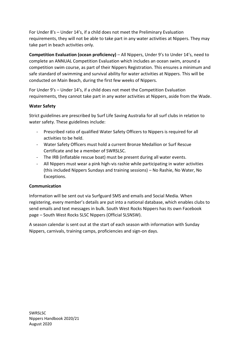For Under 8's – Under 14's, if a child does not meet the Preliminary Evaluation requirements, they will not be able to take part in any water activities at Nippers. They may take part in beach activities only.

**Competition Evaluation (ocean proficiency)** – All Nippers, Under 9's to Under 14's, need to complete an ANNUAL Competition Evaluation which includes an ocean swim, around a competition swim course, as part of their Nippers Registration. This ensures a minimum and safe standard of swimming and survival ability for water activities at Nippers. This will be conducted on Main Beach, during the first few weeks of Nippers.

For Under 9's – Under 14's, if a child does not meet the Competition Evaluation requirements, they cannot take part in any water activities at Nippers, aside from the Wade.

### **Water Safety**

Strict guidelines are prescribed by Surf Life Saving Australia for all surf clubs in relation to water safety. These guidelines include:

- Prescribed ratio of qualified Water Safety Officers to Nippers is required for all activities to be held.
- Water Safety Officers must hold a current Bronze Medallion or Surf Rescue Certificate and be a member of SWRSLSC.
- The IRB (inflatable rescue boat) must be present during all water events.
- All Nippers must wear a pink high-vis rashie while participating in water activities (this included Nippers Sundays and training sessions) – No Rashie, No Water, No Exceptions.

### **Communication**

Information will be sent out via Surfguard SMS and emails and Social Media. When registering, every member's details are put into a national database, which enables clubs to send emails and text messages in bulk. South West Rocks Nippers has its own Facebook page – South West Rocks SLSC Nippers (Official SLSNSW).

A season calendar is sent out at the start of each season with information with Sunday Nippers, carnivals, training camps, proficiencies and sign-on days.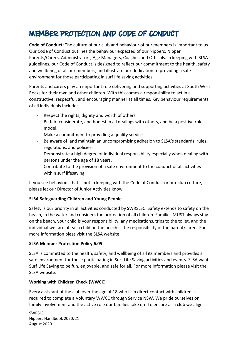### MEMBER PROTECTION AND CODE OF CONDUCT

**Code of Conduct:** The culture of our club and behaviour of our members is important to us. Our Code of Conduct outlines the behaviour expected of our Nippers, Nipper Parents/Carers, Administrators, Age Managers, Coaches and Officials. In keeping with SLSA guidelines, our Code of Conduct is designed to reflect our commitment to the health, safety and wellbeing of all our members, and illustrate our dedication to providing a safe environment for those participating in surf life saving activities.

Parents and carers play an important role delivering and supporting activities at South West Rocks for their own and other children. With this comes a responsibility to act in a constructive, respectful, and encouraging manner at all times. Key behaviour requirements of all individuals include:

- Respect the rights, dignity and worth of others
- Be fair, considerate, and honest in all dealings with others, and be a positive role model.
- Make a commitment to providing a quality service
- Be aware of, and maintain an uncompromising adhesion to SLSA's standards, rules, regulations, and policies.
- Demonstrate a high degree of individual responsibility especially when dealing with persons under the age of 18 years.
- Contribute to the provision of a safe environment to the conduct of all activities within surf lifesaving.

If you see behaviour that is not in keeping with the Code of Conduct or our club culture, please let our Director of Junior Activities know.

### **SLSA Safeguarding Children and Young People**

Safety is our priority in all activities conducted by SWRSLSC. Safety extends to safety on the beach, in the water and considers the protection of all children. Families MUST always stay on the beach, your child is your responsibility, any medications, trips to the toilet, and the individual welfare of each child on the beach is the responsibility of the parent/carer. For more information pleas visit the SLSA website.

### **SLSA Member Protection Policy 6.05**

SLSA is committed to the health, safety, and wellbeing of all its members and provides a safe environment for those participating in Surf Life Saving activities and events. SLSA wants Surf Life Saving to be fun, enjoyable, and safe for all. For more information please visit the SLSA website.

### **Working with Children Check (WWCC)**

Every assistant of the club over the age of 18 who is in direct contact with children is required to complete a Voluntary WWCC through Service NSW. We pride ourselves on family involvement and the active role our families take on. To ensure as a club we align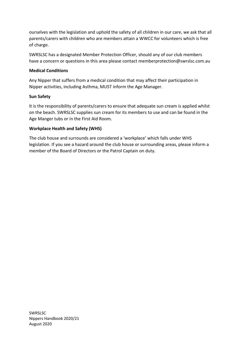ourselves with the legislation and uphold the safety of all children in our care, we ask that all parents/carers with children who are members attain a WWCC for volunteers which is free of charge.

SWRSLSC has a designated Member Protection Officer, should any of our club members have a concern or questions in this area please contact memberprotection@swrslsc.com.au

### **Medical Conditions**

Any Nipper that suffers from a medical condition that may affect their participation in Nipper activities, including Asthma, MUST inform the Age Manager.

### **Sun Safety**

It is the responsibility of parents/carers to ensure that adequate sun cream is applied whilst on the beach. SWRSLSC supplies sun cream for its members to use and can be found in the Age Manger tubs or in the First Aid Room.

### **Workplace Health and Safety (WHS)**

The club house and surrounds are considered a 'workplace' which falls under WHS legislation. If you see a hazard around the club house or surrounding areas, please inform a member of the Board of Directors or the Patrol Captain on duty.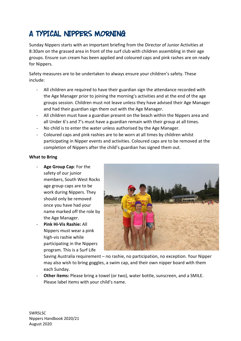## A TYPICAL NIPPERS MORNING

Sunday Nippers starts with an important briefing from the Director of Junior Activities at 8:30am on the grassed area in front of the surf club with children assembling in their age groups. Ensure sun cream has been applied and coloured caps and pink rashes are on ready for Nippers.

Safety measures are to be undertaken to always ensure your children's safety. These include:

- All children are required to have their guardian sign the attendance recorded with the Age Manager prior to joining the morning's activities and at the end of the age groups session. Children must not leave unless they have advised their Age Manager and had their guardian sign them out with the Age Manager.
- All children must have a guardian present on the beach within the Nippers area and all Under 6's and 7's must have a guardian remain with their group at all times.
- No child is to enter the water unless authorised by the Age Manager.
- Coloured caps and pink rashies are to be worn at all times by children whilst participating in Nipper events and activities. Coloured caps are to be removed at the completion of Nippers after the child's guardian has signed them out.

### **What to Bring**

- Age Group Cap: For the safety of our junior members, South West Rocks age group caps are to be work during Nippers. They should only be removed once you have had your name marked off the role by the Age Manager.
- **Pink Hi-Vis Rashie:** All Nippers must wear a pink high-vis rashie while participating in the Nippers program. This is a Surf Life



Saving Australia requirement – no rashie, no participation, no exception. Your Nipper may also wish to bring goggles, a swim cap, and their own nipper board with them each Sunday.

**Other items:** Please bring a towel (or two), water bottle, sunscreen, and a SMILE. Please label items with your child's name.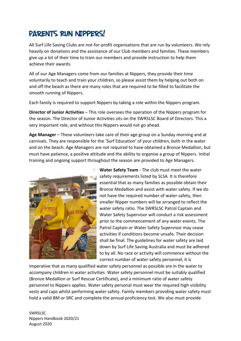### PARENTS RUN NIPPERS!

All Surf Life Saving Clubs are not-for-profit organisations that are run by volunteers. We rely heavily on donations and the assistance of our Club members and families. These members give up a lot of their time to train our members and provide instruction to help them achieve their awards.

All of our Age Managers come from our families at Nippers, they provide their time voluntarily to teach and train your children, so please assist them by helping out both on and off the beach as there are many roles that are required to be filled to facilitate the smooth running of Nippers.

Each family is required to support Nippers by taking a role within the Nippers program.

**Director of Junior Activities** – This role oversees the operation of the Nippers program for the season. The Director of Junior Activities sits on the SWRSLSC Board of Directors. This a very important role, and without this Nippers would not go ahead.

**Age Manager** – These volunteers take care of their age group on a Sunday morning and at carnivals. They are responsible for the 'Surf Education' of your children, both in the water and on the beach. Age Managers are not required to have obtained a Bronze Medallion, but must have patience, a positive attitude and the ability to organise a group of Nippers. Initial training and ongoing support throughout the season are provided to Age Managers.



**Water Safety Team** - The club must meet the water safety requirements listed by SLSA. It is therefore essential that as many families as possible obtain their Bronze Medallion and assist with water safety. If we do not have the required number of water safety, then smaller Nipper numbers will be arranged to reflect the water safety ratio. The SWRSLSC Patrol Captain and Water Safety Supervisor will conduct a risk assessment prior to the commencement of any water events. The Patrol Captain or Water Safety Supervisor may cease activities if conditions become unsafe. Their decision shall be final. The guidelines for water safety are laid down by Surf Life Saving Australia and must be adhered to by all. No race or activity will commence without the correct number of water safety personnel, it is

imperative that as many qualified water safety personnel as possible are in the water to accompany children in water activities. Water safety personnel must be suitably qualified (Bronze Medallion or Surf Rescue Certificate), and a minimum ratio of water safety personnel to Nippers applies. Water safety personal must wear the required high visibility vests and caps whilst performing water safety. Family members providing water safety must hold a valid BM or SRC and complete the annual proficiency test. We also must provide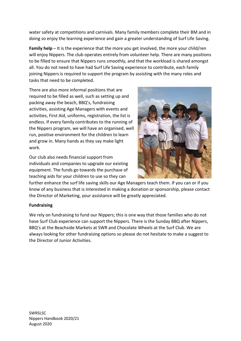water safety at competitions and carnivals. Many family members complete their BM and in doing so enjoy the learning experience and gain a greater understanding of Surf Life Saving.

**Family help** – It is the experience that the more you get involved, the more your child/ren will enjoy Nippers. The club operates entirely from volunteer help. There are many positions to be filled to ensure that Nippers runs smoothly, and that the workload is shared amongst all. You do not need to have had Surf Life Saving experience to contribute, each family joining Nippers is required to support the program by assisting with the many roles and tasks that need to be completed.

There are also more informal positions that are required to be filled as well, such as setting up and packing away the beach, BBQ's, fundraising activities, assisting Age Managers with events and activities, First Aid, uniforms, registration, the list is endless. If every family contributes to the running of the Nippers program, we will have an organised, well run, positive environment for the children to learn and grow in. Many hands as they say make light work.

Our club also needs financial support from individuals and companies to upgrade our existing equipment. The funds go towards the purchase of teaching aids for your children to use so they can



further enhance the surf life saving skills our Age Managers teach them. If you can or if you know of any business that is interested in making a donation or sponsorship, please contact the Director of Marketing, your assistance will be greatly appreciated.

### **Fundraising**

We rely on fundraising to fund our Nippers; this is one way that those families who do not have Surf Club experience can support the Nippers. There is the Sunday BBQ after Nippers, BBQ's at the Beachside Markets at SWR and Chocolate Wheels at the Surf Club. We are always looking for other fundraising options so please do not hesitate to make a suggest to the Director of Junior Activities.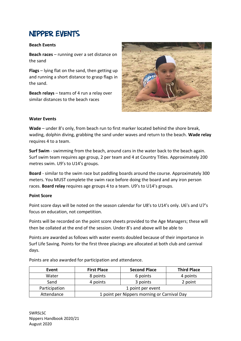### **NIPPER EVENTS**

#### **Beach Events**

**Beach races** – running over a set distance on the sand

**Flags** – lying flat on the sand, then getting up and running a short distance to grasp flags in the sand.

**Beach relays** – teams of 4 run a relay over similar distances to the beach races



### **Water Events**

**Wade** – under 8's only, from beach run to first marker located behind the shore break, wading, dolphin diving, grabbing the sand under waves and return to the beach. **Wade relay** requires 4 to a team.

**Surf Swim** - swimming from the beach, around cans in the water back to the beach again. Surf swim team requires age group, 2 per team and 4 at Country Titles. Approximately 200 metres swim. U9's to U14's groups.

**Board** - similar to the swim race but paddling boards around the course. Approximately 300 meters. You MUST complete the swim race before doing the board and any iron person races. **Board relay** requires age groups 4 to a team. U9's to U14's groups.

### **Point Score**

Point score days will be noted on the season calendar for U8's to U14's only. U6's and U7's focus on education, not competition.

Points will be recorded on the point score sheets provided to the Age Managers; these will then be collated at the end of the session. Under 8's and above will be able to

Points are awarded as follows with water events doubled because of their importance in Surf Life Saving. Points for the first three placings are allocated at both club and carnival days.

Points are also awarded for participation and attendance.

| Event         | <b>First Place</b>                          | <b>Second Place</b> | <b>Third Place</b> |
|---------------|---------------------------------------------|---------------------|--------------------|
| Water         | 8 points                                    | 6 points            | 4 points           |
| Sand          | 4 points                                    | 3 points            | 2 point            |
| Participation | 1 point per event                           |                     |                    |
| Attendance    | 1 point per Nippers morning or Carnival Day |                     |                    |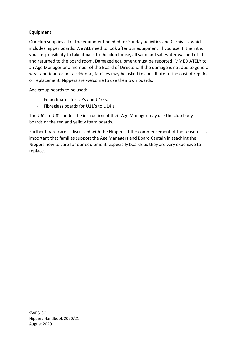### **Equipment**

Our club supplies all of the equipment needed for Sunday activities and Carnivals, which includes nipper boards. We ALL need to look after our equipment. If you use it, then it is your responsibility to take it back to the club house, all sand and salt water washed off it and returned to the board room. Damaged equipment must be reported IMMEDIATELY to an Age Manager or a member of the Board of Directors. If the damage is not due to general wear and tear, or not accidental, families may be asked to contribute to the cost of repairs or replacement. Nippers are welcome to use their own boards.

Age group boards to be used:

- Foam boards for U9's and U10's.
- Fibreglass boards for U11's to U14's.

The U6's to U8's under the instruction of their Age Manager may use the club body boards or the red and yellow foam boards.

Further board care is discussed with the Nippers at the commencement of the season. It is important that families support the Age Managers and Board Captain in teaching the Nippers how to care for our equipment, especially boards as they are very expensive to replace.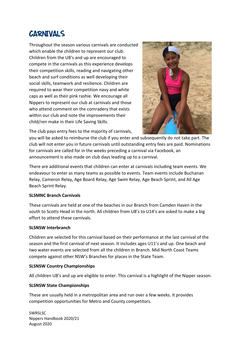### **CARNIVALS**

Throughout the season various carnivals are conducted which enable the children to represent our club. Children from the U8's and up are encouraged to compete in the carnivals as this experience develops their competition skills, reading and navigating other beach and surf conditions as well developing their social skills, teamwork and resilience. Children are required to wear their competition navy and white caps as well as their pink rashie. We encourage all Nippers to represent our club at carnivals and those who attend comment on the comradery that exists within our club and note the improvements their child/ren make in their Life Saving Skills.



The club pays entry fees to the majority of carnivals,

you will be asked to reimburse the club if you enter and subsequently do not take part. The club will not enter you in future carnivals until outstanding entry fees are paid. Nominations for carnivals are called for in the weeks preceding a carnival via Facebook, an announcement is also made on club days leading up to a carnival.

There are additional events that children can enter at carnivals including team events. We endeavour to enter as many teams as possible to events. Team events include Buchanan Relay, Cameron Relay, Age Board Relay, Age Swim Relay, Age Beach Sprint, and All Age Beach Sprint Relay.

### **SLSMNC Branch Carnivals**

These carnivals are held at one of the beaches in our Branch from Camden Haven in the south to Scotts Head in the north. All children from U8's to U14's are asked to make a big effort to attend these carnivals.

### **SLSNSW Interbranch**

Children are selected for this carnival based on their performance at the last carnival of the season and the first carnival of next season. It includes ages U11's and up. One beach and two water events are selected from all the children in Branch. Mid North Coast Teams compete against other NSW's Branches for places in the State Team.

### **SLSNSW Country Championships**

All children U8's and up are eligible to enter. This carnival is a highlight of the Nipper season.

### **SLSNSW State Championships**

These are usually held in a metropolitan area and run over a few weeks. It provides competition opportunities for Metro and County competitors.